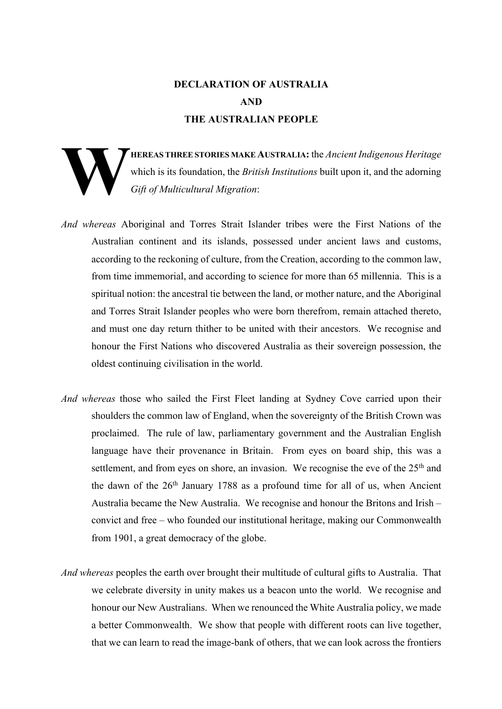## **DECLARATION OF AUSTRALIA AND THE AUSTRALIAN PEOPLE**



**HEREAS THREE STORIES MAKE AUSTRALIA:** the *Ancient Indigenous Heritage* which is its foundation, the *British Institutions* built upon it, and the adorning *Gift of Multicultural Migration*:

- *And whereas* Aboriginal and Torres Strait Islander tribes were the First Nations of the Australian continent and its islands, possessed under ancient laws and customs, according to the reckoning of culture, from the Creation, according to the common law, from time immemorial, and according to science for more than 65 millennia. This is a spiritual notion: the ancestral tie between the land, or mother nature, and the Aboriginal and Torres Strait Islander peoples who were born therefrom, remain attached thereto, and must one day return thither to be united with their ancestors. We recognise and honour the First Nations who discovered Australia as their sovereign possession, the oldest continuing civilisation in the world.
- *And whereas* those who sailed the First Fleet landing at Sydney Cove carried upon their shoulders the common law of England, when the sovereignty of the British Crown was proclaimed. The rule of law, parliamentary government and the Australian English language have their provenance in Britain. From eyes on board ship, this was a settlement, and from eyes on shore, an invasion. We recognise the eve of the  $25<sup>th</sup>$  and the dawn of the  $26<sup>th</sup>$  January 1788 as a profound time for all of us, when Ancient Australia became the New Australia. We recognise and honour the Britons and Irish – convict and free – who founded our institutional heritage, making our Commonwealth from 1901, a great democracy of the globe.
- *And whereas* peoples the earth over brought their multitude of cultural gifts to Australia. That we celebrate diversity in unity makes us a beacon unto the world. We recognise and honour our New Australians. When we renounced the White Australia policy, we made a better Commonwealth. We show that people with different roots can live together, that we can learn to read the image-bank of others, that we can look across the frontiers